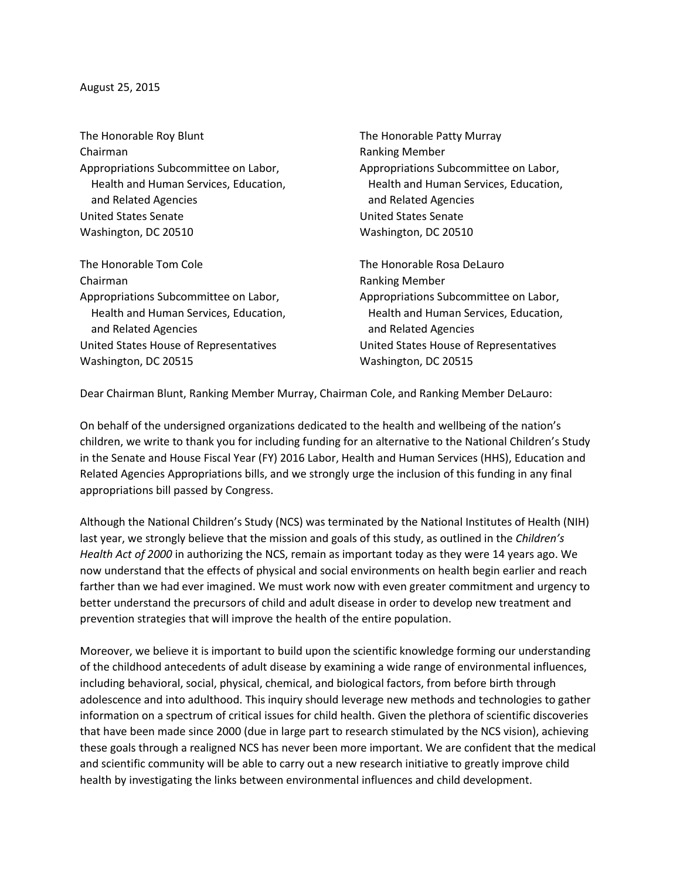## August 25, 2015

The Honorable Roy Blunt The Honorable Patty Murray Chairman **Chairman** Ranking Member Appropriations Subcommittee on Labor, Appropriations Subcommittee on Labor, and Related Agencies and Related Agencies United States Senate United States Senate Washington, DC 20510 Washington, DC 20510

The Honorable Tom Cole The The Honorable Rosa DeLauro Chairman **Ranking Member** Ranking Member Appropriations Subcommittee on Labor, Appropriations Subcommittee on Labor, and Related Agencies and Related Agencies United States House of Representatives United States House of Representatives Washington, DC 20515 Washington, DC 20515

Health and Human Services, Education, Thealth and Human Services, Education,

Health and Human Services, Education, Health and Human Services, Education,

Dear Chairman Blunt, Ranking Member Murray, Chairman Cole, and Ranking Member DeLauro:

On behalf of the undersigned organizations dedicated to the health and wellbeing of the nation's children, we write to thank you for including funding for an alternative to the National Children's Study in the Senate and House Fiscal Year (FY) 2016 Labor, Health and Human Services (HHS), Education and Related Agencies Appropriations bills, and we strongly urge the inclusion of this funding in any final appropriations bill passed by Congress.

Although the National Children's Study (NCS) was terminated by the National Institutes of Health (NIH) last year, we strongly believe that the mission and goals of this study, as outlined in the *Children's Health Act of 2000* in authorizing the NCS, remain as important today as they were 14 years ago. We now understand that the effects of physical and social environments on health begin earlier and reach farther than we had ever imagined. We must work now with even greater commitment and urgency to better understand the precursors of child and adult disease in order to develop new treatment and prevention strategies that will improve the health of the entire population.

Moreover, we believe it is important to build upon the scientific knowledge forming our understanding of the childhood antecedents of adult disease by examining a wide range of environmental influences, including behavioral, social, physical, chemical, and biological factors, from before birth through adolescence and into adulthood. This inquiry should leverage new methods and technologies to gather information on a spectrum of critical issues for child health. Given the plethora of scientific discoveries that have been made since 2000 (due in large part to research stimulated by the NCS vision), achieving these goals through a realigned NCS has never been more important. We are confident that the medical and scientific community will be able to carry out a new research initiative to greatly improve child health by investigating the links between environmental influences and child development.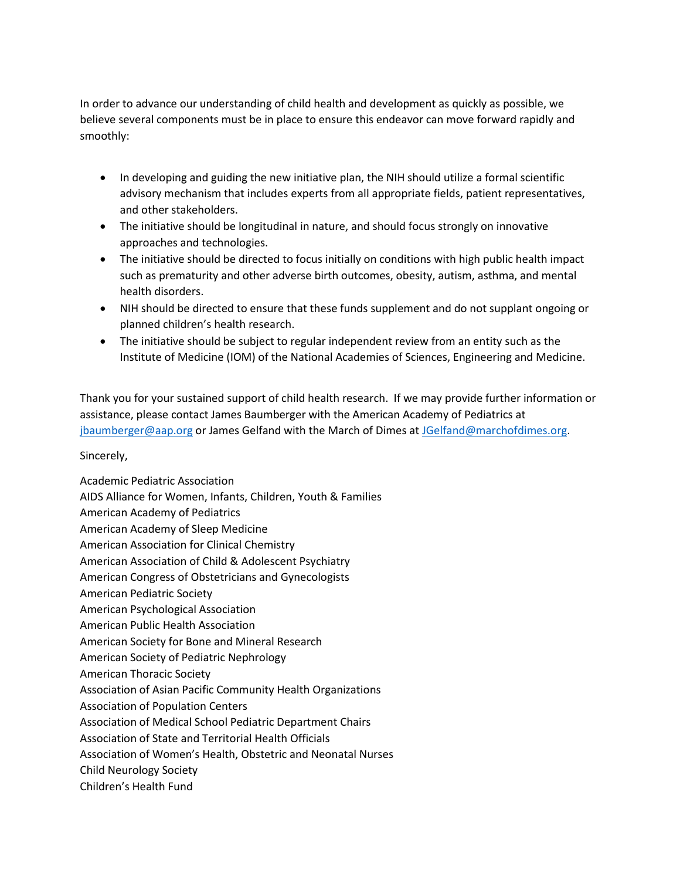In order to advance our understanding of child health and development as quickly as possible, we believe several components must be in place to ensure this endeavor can move forward rapidly and smoothly:

- In developing and guiding the new initiative plan, the NIH should utilize a formal scientific advisory mechanism that includes experts from all appropriate fields, patient representatives, and other stakeholders.
- The initiative should be longitudinal in nature, and should focus strongly on innovative approaches and technologies.
- The initiative should be directed to focus initially on conditions with high public health impact such as prematurity and other adverse birth outcomes, obesity, autism, asthma, and mental health disorders.
- NIH should be directed to ensure that these funds supplement and do not supplant ongoing or planned children's health research.
- The initiative should be subject to regular independent review from an entity such as the Institute of Medicine (IOM) of the National Academies of Sciences, Engineering and Medicine.

Thank you for your sustained support of child health research. If we may provide further information or assistance, please contact James Baumberger with the American Academy of Pediatrics at [jbaumberger@aap.org](mailto:jbaumberger@aap.org) or James Gelfand with the March of Dimes at [JGelfand@marchofdimes.org.](mailto:JGelfand@marchofdimes.org)

## Sincerely,

Academic Pediatric Association AIDS Alliance for Women, Infants, Children, Youth & Families American Academy of Pediatrics American Academy of Sleep Medicine American Association for Clinical Chemistry American Association of Child & Adolescent Psychiatry American Congress of Obstetricians and Gynecologists American Pediatric Society American Psychological Association American Public Health Association American Society for Bone and Mineral Research American Society of Pediatric Nephrology American Thoracic Society Association of Asian Pacific Community Health Organizations Association of Population Centers Association of Medical School Pediatric Department Chairs Association of State and Territorial Health Officials Association of Women's Health, Obstetric and Neonatal Nurses Child Neurology Society Children's Health Fund